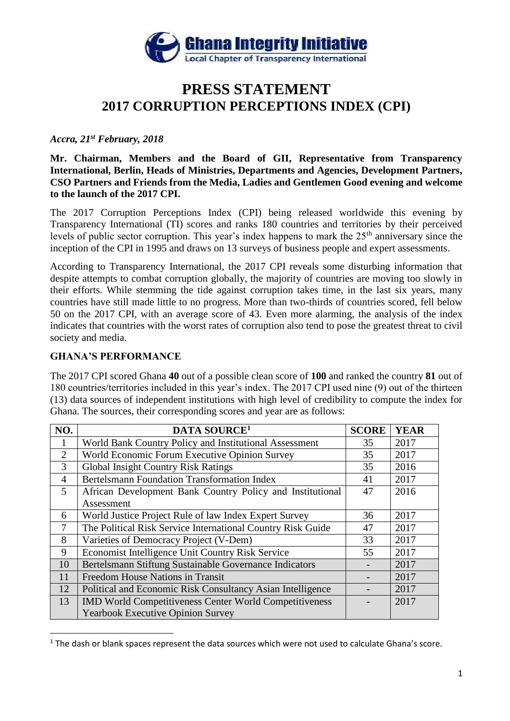

# **PRESS STATEMENT 2017 CORRUPTION PERCEPTIONS INDEX (CPI)**

# *Accra, 21st February, 2018*

**Mr. Chairman, Members and the Board of GII, Representative from Transparency International, Berlin, Heads of Ministries, Departments and Agencies, Development Partners, CSO Partners and Friends from the Media, Ladies and Gentlemen Good evening and welcome to the launch of the 2017 CPI.**

The 2017 Corruption Perceptions Index (CPI) being released worldwide this evening by Transparency International (TI) scores and ranks 180 countries and territories by their perceived levels of public sector corruption. This year's index happens to mark the 25<sup>th</sup> anniversary since the inception of the CPI in 1995 and draws on 13 surveys of business people and expert assessments.

According to Transparency International, the 2017 CPI reveals some disturbing information that despite attempts to combat corruption globally, the majority of countries are moving too slowly in their efforts. While stemming the tide against corruption takes time, in the last six years, many countries have still made little to no progress. More than two-thirds of countries scored, fell below 50 on the 2017 CPI, with an average score of 43. Even more alarming, the analysis of the index indicates that countries with the worst rates of corruption also tend to pose the greatest threat to civil society and media.

### **GHANA'S PERFORMANCE**

 $\overline{\phantom{a}}$ 

The 2017 CPI scored Ghana **40** out of a possible clean score of **100** and ranked the country **81** out of 180 countries/territories included in this year's index. The 2017 CPI used nine (9) out of the thirteen (13) data sources of independent institutions with high level of credibility to compute the index for Ghana. The sources, their corresponding scores and year are as follows:

| NO.            | DATA SOURCE <sup>1</sup>                                      | <b>SCORE</b> | <b>YEAR</b> |
|----------------|---------------------------------------------------------------|--------------|-------------|
|                | World Bank Country Policy and Institutional Assessment        | 35           | 2017        |
| $\overline{2}$ | World Economic Forum Executive Opinion Survey                 | 35           | 2017        |
| 3              | <b>Global Insight Country Risk Ratings</b>                    | 35           | 2016        |
| $\overline{4}$ | <b>Bertelsmann Foundation Transformation Index</b>            | 41           | 2017        |
| $\overline{5}$ | African Development Bank Country Policy and Institutional     | 47           | 2016        |
|                | Assessment                                                    |              |             |
| 6              | World Justice Project Rule of law Index Expert Survey         | 36           | 2017        |
| $\overline{7}$ | The Political Risk Service International Country Risk Guide   | 47           | 2017        |
| 8              | Varieties of Democracy Project (V-Dem)                        | 33           | 2017        |
| 9              | Economist Intelligence Unit Country Risk Service              | 55           | 2017        |
| 10             | Bertelsmann Stiftung Sustainable Governance Indicators        |              | 2017        |
| 11             | Freedom House Nations in Transit                              |              | 2017        |
| 12             | Political and Economic Risk Consultancy Asian Intelligence    |              | 2017        |
| 13             | <b>IMD World Competitiveness Center World Competitiveness</b> |              | 2017        |
|                | <b>Yearbook Executive Opinion Survey</b>                      |              |             |

 $1$  The dash or blank spaces represent the data sources which were not used to calculate Ghana's score.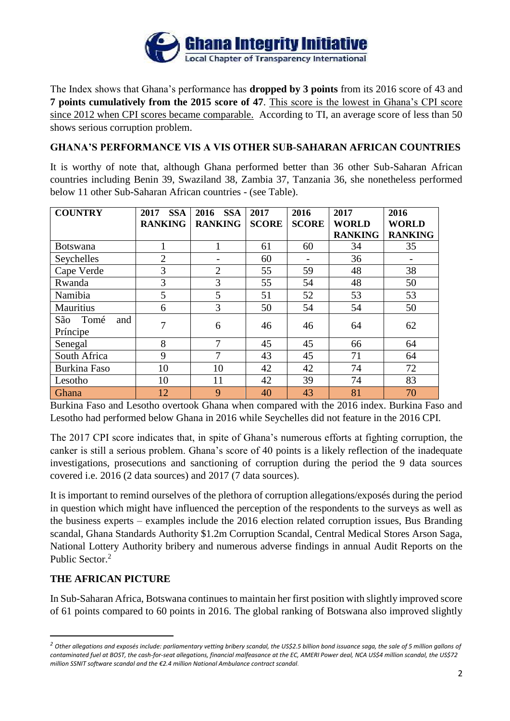

The Index shows that Ghana's performance has **dropped by 3 points** from its 2016 score of 43 and **7 points cumulatively from the 2015 score of 47**. This score is the lowest in Ghana's CPI score since 2012 when CPI scores became comparable. According to TI, an average score of less than 50 shows serious corruption problem.

# **GHANA'S PERFORMANCE VIS A VIS OTHER SUB-SAHARAN AFRICAN COUNTRIES**

It is worthy of note that, although Ghana performed better than 36 other Sub-Saharan African countries including Benin 39, Swaziland 38, Zambia 37, Tanzania 36, she nonetheless performed below 11 other Sub-Saharan African countries - (see Table).

| <b>COUNTRY</b>      | <b>SSA</b><br>2017 | <b>SSA</b><br>2016 | 2017         | 2016         | 2017           | 2016           |
|---------------------|--------------------|--------------------|--------------|--------------|----------------|----------------|
|                     | <b>RANKING</b>     | <b>RANKING</b>     | <b>SCORE</b> | <b>SCORE</b> | <b>WORLD</b>   | <b>WORLD</b>   |
|                     |                    |                    |              |              | <b>RANKING</b> | <b>RANKING</b> |
| Botswana            |                    |                    | 61           | 60           | 34             | 35             |
| Seychelles          | $\overline{2}$     |                    | 60           |              | 36             |                |
| Cape Verde          | 3                  | $\overline{2}$     | 55           | 59           | 48             | 38             |
| Rwanda              | 3                  | 3                  | 55           | 54           | 48             | 50             |
| Namibia             | 5                  | 5                  | 51           | 52           | 53             | 53             |
| Mauritius           | 6                  | 3                  | 50           | 54           | 54             | 50             |
| São<br>Tomé<br>and  | 7                  | 6                  | 46           | 46           | 64             | 62             |
| Príncipe            |                    |                    |              |              |                |                |
| Senegal             | 8                  | 7                  | 45           | 45           | 66             | 64             |
| South Africa        | 9                  | 7                  | 43           | 45           | 71             | 64             |
| <b>Burkina Faso</b> | 10                 | 10                 | 42           | 42           | 74             | 72             |
| Lesotho             | 10                 | 11                 | 42           | 39           | 74             | 83             |
| Ghana               | 12                 | 9                  | 40           | 43           | 81             | 70             |

Burkina Faso and Lesotho overtook Ghana when compared with the 2016 index. Burkina Faso and Lesotho had performed below Ghana in 2016 while Seychelles did not feature in the 2016 CPI.

The 2017 CPI score indicates that, in spite of Ghana's numerous efforts at fighting corruption, the canker is still a serious problem. Ghana's score of 40 points is a likely reflection of the inadequate investigations, prosecutions and sanctioning of corruption during the period the 9 data sources covered i.e. 2016 (2 data sources) and 2017 (7 data sources).

It is important to remind ourselves of the plethora of corruption allegations/exposés during the period in question which might have influenced the perception of the respondents to the surveys as well as the business experts – examples include the 2016 election related corruption issues, Bus Branding scandal, Ghana Standards Authority \$1.2m Corruption Scandal, Central Medical Stores Arson Saga, National Lottery Authority bribery and numerous adverse findings in annual Audit Reports on the Public Sector.<sup>2</sup>

## **THE AFRICAN PICTURE**

 $\overline{\phantom{a}}$ 

In Sub-Saharan Africa, Botswana continues to maintain her first position with slightly improved score of 61 points compared to 60 points in 2016. The global ranking of Botswana also improved slightly

*<sup>2</sup> Other allegations and exposés include: parliamentary vetting bribery scandal, the US\$2.5 billion bond issuance saga, the sale of 5 million gallons of contaminated fuel at BOST, the cash-for-seat allegations, financial malfeasance at the EC, AMERI Power deal, NCA US\$4 million scandal, the US\$72 million SSNIT software scandal and the €2.4 million National Ambulance contract scandal.*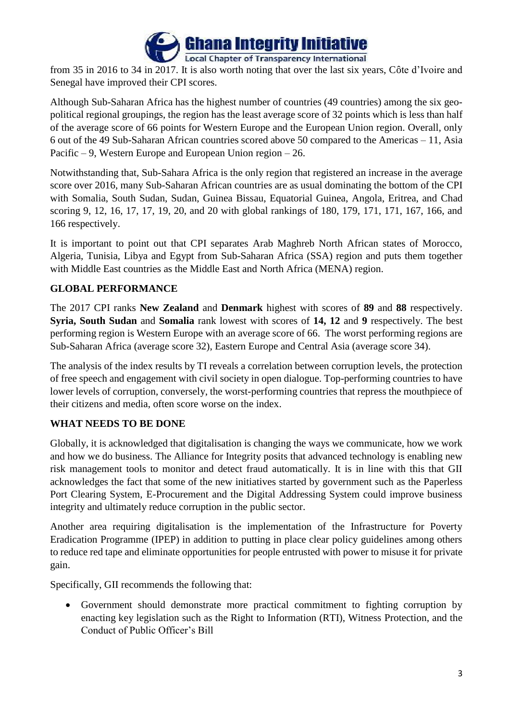

from 35 in 2016 to 34 in 2017. It is also worth noting that over the last six years, Côte d'Ivoire and Senegal have improved their CPI scores.

Although Sub-Saharan Africa has the highest number of countries (49 countries) among the six geopolitical regional groupings, the region has the least average score of 32 points which is less than half of the average score of 66 points for Western Europe and the European Union region. Overall, only 6 out of the 49 Sub-Saharan African countries scored above 50 compared to the Americas – 11, Asia Pacific – 9, Western Europe and European Union region – 26.

Notwithstanding that, Sub-Sahara Africa is the only region that registered an increase in the average score over 2016, many Sub-Saharan African countries are as usual dominating the bottom of the CPI with Somalia, South Sudan, Sudan, Guinea Bissau, Equatorial Guinea, Angola, Eritrea, and Chad scoring 9, 12, 16, 17, 17, 19, 20, and 20 with global rankings of 180, 179, 171, 171, 167, 166, and 166 respectively.

It is important to point out that CPI separates Arab Maghreb North African states of Morocco, Algeria, Tunisia, Libya and Egypt from Sub-Saharan Africa (SSA) region and puts them together with Middle East countries as the Middle East and North Africa (MENA) region.

# **GLOBAL PERFORMANCE**

The 2017 CPI ranks **New Zealand** and **Denmark** highest with scores of **89** and **88** respectively. **Syria, South Sudan** and **Somalia** rank lowest with scores of **14, 12** and **9** respectively. The best performing region is Western Europe with an average score of 66. The worst performing regions are Sub-Saharan Africa (average score 32), Eastern Europe and Central Asia (average score 34).

The analysis of the index results by TI reveals a correlation between corruption levels, the protection of free speech and engagement with civil society in open dialogue. Top-performing countries to have lower levels of corruption, conversely, the worst-performing countries that repress the mouthpiece of their citizens and media, often score worse on the index.

# **WHAT NEEDS TO BE DONE**

Globally, it is acknowledged that digitalisation is changing the ways we communicate, how we work and how we do business. The Alliance for Integrity posits that advanced technology is enabling new risk management tools to monitor and detect fraud automatically. It is in line with this that GII acknowledges the fact that some of the new initiatives started by government such as the Paperless Port Clearing System, E-Procurement and the Digital Addressing System could improve business integrity and ultimately reduce corruption in the public sector.

Another area requiring digitalisation is the implementation of the Infrastructure for Poverty Eradication Programme (IPEP) in addition to putting in place clear policy guidelines among others to reduce red tape and eliminate opportunities for people entrusted with power to misuse it for private gain.

Specifically, GII recommends the following that:

 Government should demonstrate more practical commitment to fighting corruption by enacting key legislation such as the Right to Information (RTI), Witness Protection, and the Conduct of Public Officer's Bill